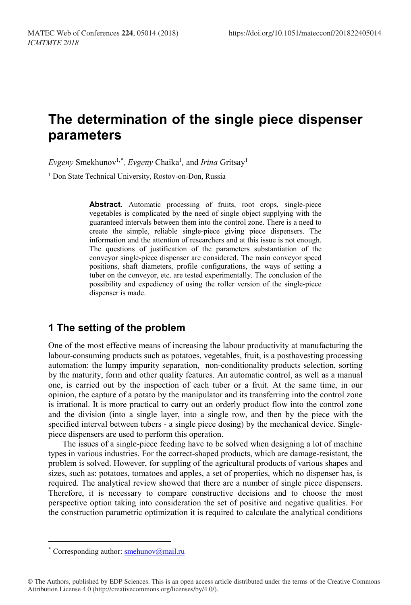# **The determination of the single piece dispenser parameters**

Evgeny Smekhunov<sup>1,[\\*](#page-0-0)</sup>, Evgeny Chaika<sup>1</sup>, and *Irina* Gritsay<sup>1</sup>

<sup>1</sup> Don State Technical University, Rostov-on-Don, Russia

Abstract. Automatic processing of fruits, root crops, single-piece vegetables is complicated by the need of single object supplying with the guaranteed intervals between them into the control zone. There is a need to create the simple, reliable single-piece giving piece dispensers. The information and the attention of researchers and at this issue is not enough. The questions of justification of the parameters substantiation of the conveyor single-piece dispenser are considered. The main conveyor speed positions, shaft diameters, profile configurations, the ways of setting a tuber on the conveyor, etc. are tested experimentally. The conclusion of the possibility and expediency of using the roller version of the single-piece dispenser is made.

### **1 The setting of the problem**

One of the most effective means of increasing the labour productivity at manufacturing the labour-consuming products such as potatoes, vegetables, fruit, is a posthavesting processing automation: the lumpy impurity separation, non-conditionality products selection, sorting by the maturity, form and other quality features. An automatic control, as well as a manual one, is carried out by the inspection of each tuber or a fruit. At the same time, in our opinion, the capture of a potato by the manipulator and its transferring into the control zone is irrational. It is more practical to carry out an orderly product flow into the control zone and the division (into a single layer, into a single row, and then by the piece with the specified interval between tubers - a single piece dosing) by the mechanical device. Singlepiece dispensers are used to perform this operation.

The issues of a single-piece feeding have to be solved when designing a lot of machine types in various industries. For the correct-shaped products, which are damage-resistant, the problem is solved. However, for suppling of the agricultural products of various shapes and sizes, such as: potatoes, tomatoes and apples, a set of properties, which no dispenser has, is required. The analytical review showed that there are a number of single piece dispensers. Therefore, it is necessary to compare constructive decisions and to choose the most perspective option taking into consideration the set of positive and negative qualities. For the construction parametric optimization it is required to calculate the analytical conditions

 $\overline{a}$ 

<span id="page-0-0"></span><sup>\*</sup> Corresponding author[: smehunov@mail.ru](mailto:smehunov@mail.ru)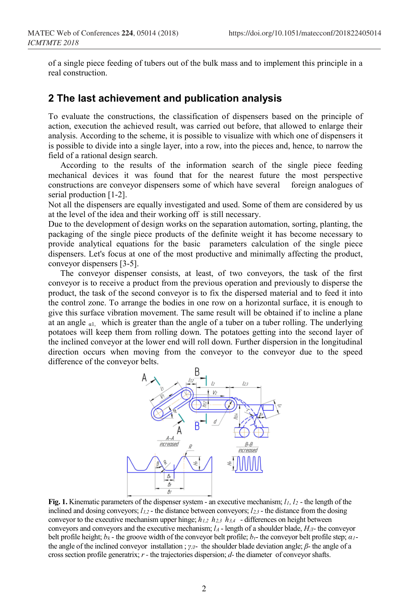of a single piece feeding of tubers out of the bulk mass and to implement this principle in a real construction.

### **2 The last achievement and publication analysis**

To evaluate the constructions, the classification of dispensers based on the principle of action, execution the achieved result, was carried out before, that allowed to enlarge their analysis. According to the scheme, it is possible to visualize with which one of dispensers it is possible to divide into a single layer, into a row, into the pieces and, hence, to narrow the field of a rational design search.

According to the results of the information search of the single piece feeding mechanical devices it was found that for the nearest future the most perspective constructions are conveyor dispensers some of which have several foreign analogues of serial production [1-2].

Not all the dispensers are equally investigated and used. Some of them are considered by us at the level of the idea and their working off is still necessary.

Due to the development of design works on the separation automation, sorting, planting, the packaging of the single piece products of the definite weight it has become necessary to provide analytical equations for the basic parameters calculation of the single piece dispensers. Let's focus at one of the most productive and minimally affecting the product, conveyor dispensers [3-5].

The conveyor dispenser consists, at least, of two conveyors, the task of the first conveyor is to receive a product from the previous operation and previously to disperse the product, the task of the second conveyor is to fix the dispersed material and to feed it into the control zone. To arrange the bodies in one row on a horizontal surface, it is enough to give this surface vibration movement. The same result will be obtained if to incline a plane at an angle  $\alpha$ 1, which is greater than the angle of a tuber on a tuber rolling. The underlying potatoes will keep them from rolling down. The potatoes getting into the second layer of the inclined conveyor at the lower end will roll down. Further dispersion in the longitudinal direction occurs when moving from the conveyor to the conveyor due to the speed difference of the conveyor belts.



**Fig. 1.** Kinematic parameters of the dispenser system - an executive mechanism;  $l_1$ ,  $l_2$  - the length of the inclined and dosing conveyors;  $l_{1,2}$  - the distance between conveyors;  $l_{2,3}$  - the distance from the dosing conveyor to the executive mechanism upper hinge;  $h_{1,2}$   $h_{2,3}$   $h_{3,4}$  - differences on height between conveyors and conveyors and the executive mechanism;  $l_A$  - length of a shoulder blade,  $H<sub>II</sub>$ - the conveyor belt profile height; *bk* - the groove width of the conveyor belt profile; *bt*- the conveyor belt profile step; *α1* the angle of the inclined conveyor installation ; *γЛ*- the shoulder blade deviation angle; *β*- the angle of a cross section profile generatrix;  $r$  - the trajectories dispersion;  $d$ - the diameter of conveyor shafts.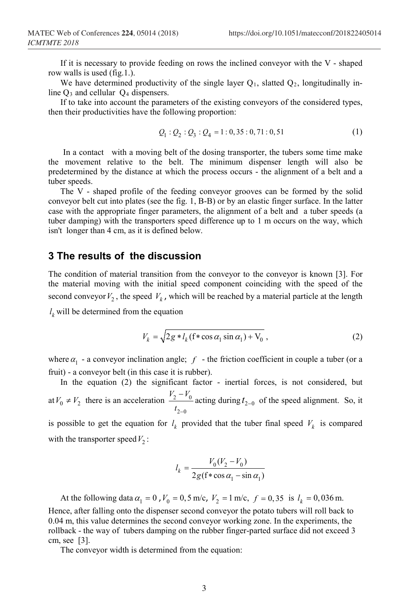If it is necessary to provide feeding on rows the inclined conveyor with the V - shaped row walls is used (fig.1.).

We have determined productivity of the single layer  $Q_1$ , slatted  $Q_2$ , longitudinally inline  $Q_3$  and cellular  $Q_4$  dispensers.

If to take into account the parameters of the existing conveyors of the considered types, then their productivities have the following proportion:

$$
Q_1: Q_2: Q_3: Q_4 = 1: 0, 35: 0, 71: 0, 51 \tag{1}
$$

In a contact with a moving belt of the dosing transporter, the tubers some time make the movement relative to the belt. The minimum dispenser length will also be predetermined by the distance at which the process occurs - the alignment of a belt and a tuber speeds.

The V - shaped profile of the feeding conveyor grooves can be formed by the solid conveyor belt cut into plates (see the fig. 1, B-B) or by an elastic finger surface. In the latter case with the appropriate finger parameters, the alignment of a belt and a tuber speeds (a tuber damping) with the transporters speed difference up to 1 m occurs on the way, which isn't longer than 4 cm, as it is defined below.

#### **3 The results of the discussion**

The condition of material transition from the conveyor to the conveyor is known [3]. For the material moving with the initial speed component coinciding with the speed of the second conveyor  $V_2$ , the speed  $V_k$ , which will be reached by a material particle at the length

 $l_k$  will be determined from the equation

$$
V_k = \sqrt{2g * l_k (f * \cos \alpha_1 \sin \alpha_1) + V_0},
$$
\n(2)

where  $\alpha_1$  - a conveyor inclination angle; *f* - the friction coefficient in couple a tuber (or a fruit) - a conveyor belt (in this case it is rubber).

In the equation (2) the significant factor - inertial forces, is not considered, but at  $V_0 \neq V_2$  there is an acceleration  $\frac{2 V_0}{\sigma}$  $_{2-0}$  $V_2 - V$  $t_{2-}$  $-\frac{V_0}{V_0}$  acting during  $t_{2-0}$  of the speed alignment. So, it

is possible to get the equation for  $l_k$  provided that the tuber final speed  $V_k$  is compared with the transporter speed  $V_2$ :

$$
l_k = \frac{V_0 (V_2 - V_0)}{2g(\mathbf{f} * \cos \alpha_1 - \sin \alpha_1)}
$$

At the following data  $\alpha_1 = 0$ ,  $V_0 = 0.5$  m/c,  $V_2 = 1$  m/c,  $f = 0.35$  is  $l_k = 0.036$  m. Hence, after falling onto the dispenser second conveyor the potato tubers will roll back to 0.04 m, this value determines the second conveyor working zone. In the experiments, the rollback - the way of tubers damping on the rubber finger-parted surface did not exceed 3 cm, see [3].

The conveyor width is determined from the equation: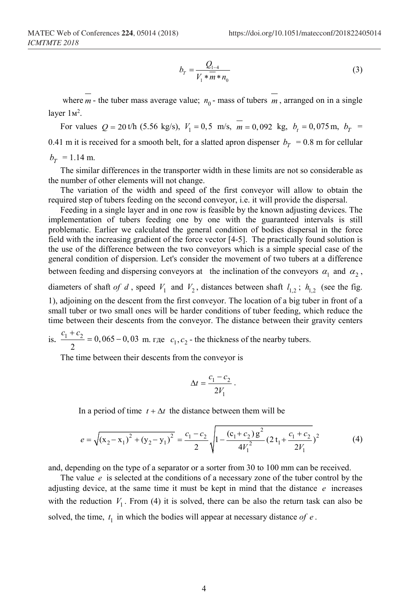$$
b_r = \frac{Q_{1-4}}{V_1 * m * n_0} \tag{3}
$$

where  $m$  - the tuber mass average value;  $n_0$  - mass of tubers  $m$ , arranged on in a single layer  $1<sup>2</sup>$ .

For values  $Q = 20$  t/h (5.56 kg/s),  $V_1 = 0.5$  m/s,  $\overline{m} = 0.092$  kg,  $b_t = 0.075$  m,  $b_T = 0.075$ 0.41 m it is received for a smooth belt, for a slatted apron dispenser  $b_T = 0.8$  m for cellular

 $b_r$  = 1.14 m.

The similar differences in the transporter width in these limits are not so considerable as the number of other elements will not change.

The variation of the width and speed of the first conveyor will allow to obtain the required step of tubers feeding on the second conveyor, i.e. it will provide the dispersal.

Feeding in a single layer and in one row is feasible by the known adjusting devices. The implementation of tubers feeding one by one with the guaranteed intervals is still problematic. Earlier we calculated the general condition of bodies dispersal in the force field with the increasing gradient of the force vector [4-5]. The practically found solution is the use of the difference between the two conveyors which is a simple special case of the general condition of dispersion. Let's consider the movement of two tubers at a difference between feeding and dispersing conveyors at the inclination of the conveyors  $\alpha_1$  and  $\alpha_2$ , diameters of shaft *of d*, speed  $V_1$  and  $V_2$ , distances between shaft  $l_{1,2}$ ;  $h_{1,2}$  (see the fig. 1), adjoining on the descent from the first conveyor. The location of a big tuber in front of a small tuber or two small ones will be harder conditions of tuber feeding, which reduce the time between their descents from the conveyor. The distance between their gravity centers

is.  $\frac{c_1 + c_2}{\cdot} = 0,065 - 0,03$  $\frac{c_1 + c_2}{2} = 0,065 - 0,03$  m. где  $c_1, c_2$  - the thickness of the nearby tubers.

The time between their descents from the conveyor is

$$
\Delta t = \frac{c_1 - c_2}{2V_1} \, .
$$

In a period of time  $t + \Delta t$  the distance between them will be

$$
e = \sqrt{(x_2 - x_1)^2 + (y_2 - y_1)^2} = \frac{c_1 - c_2}{2} \sqrt{1 - \frac{(c_1 + c_2)g^2}{4V_1^2} (2t_1 + \frac{c_1 + c_2}{2V_1})^2}
$$
(4)

and, depending on the type of a separator or a sorter from 30 to 100 mm can be received.

The value  $e$  is selected at the conditions of a necessary zone of the tuber control by the adjusting device, at the same time it must be kept in mind that the distance *e* increases with the reduction  $V_1$ . From (4) it is solved, there can be also the return task can also be solved, the time,  $t_1$  in which the bodies will appear at necessary distance of  $e$ .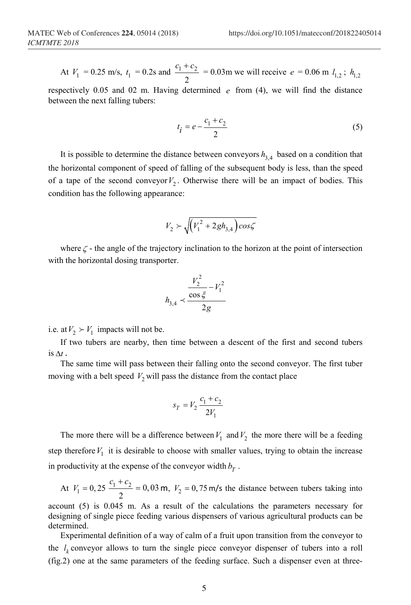At  $V_1 = 0.25$  m/s,  $t_1 = 0.2$ s and  $\frac{t_1 + t_2}{2}$ 2  $c_1 + c$  $= 0.03$ m we will receive  $e = 0.06$  m  $l_{1,2}$ ;  $h_{1,2}$ 

respectively 0.05 and 02 m. Having determined *e* from (4), we will find the distance between the next falling tubers:

$$
t_i = e - \frac{c_1 + c_2}{2} \tag{5}
$$

It is possible to determine the distance between conveyors  $h_{3,4}$  based on a condition that the horizontal component of speed of falling of the subsequent body is less, than the speed of a tape of the second conveyor  $V_2$ . Otherwise there will be an impact of bodies. This condition has the following appearance:

$$
V_2 \succ \sqrt{\left(V_1^2 + 2gh_{3,4}\right)\cos\zeta}
$$

where  $\zeta$  - the angle of the trajectory inclination to the horizon at the point of intersection with the horizontal dosing transporter.

$$
h_{3,4} \prec \frac{\frac{V_2^2}{\cos \xi} - V_1^2}{2g}
$$

i.e. at  $V_2 \succ V_1$  impacts will not be.

If two tubers are nearby, then time between a descent of the first and second tubers is ∆*t* .

The same time will pass between their falling onto the second conveyor. The first tuber moving with a belt speed  $V_2$  will pass the distance from the contact place

$$
s_T = V_2 \frac{c_1 + c_2}{2V_1}
$$

The more there will be a difference between  $V_1$  and  $V_2$  the more there will be a feeding step therefore  $V_1$  it is desirable to choose with smaller values, trying to obtain the increase in productivity at the expense of the conveyor width  $b_T$ .

At  $V_1 = 0, 25 \frac{c_1 + c_2}{2} = 0, 03 \text{ m}, V_2 = 0, 75 \text{ m/s}$  the distance between tubers taking into

account (5) is 0.045 m. As a result of the calculations the parameters necessary for designing of single piece feeding various dispensers of various agricultural products can be determined.

Experimental definition of a way of calm of a fruit upon transition from the conveyor to the  $l_k$  conveyor allows to turn the single piece conveyor dispenser of tubers into a roll (fig.2) one at the same parameters of the feeding surface. Such a dispenser even at three